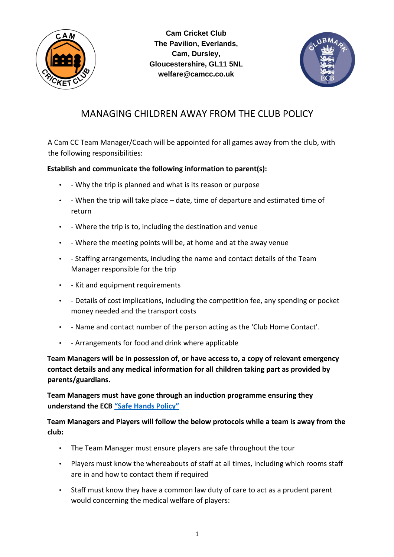

**Cam Cricket Club The Pavilion, Everlands, Cam, Dursley, Gloucestershire, GL11 5NL welfare@camcc.co.uk**



## MANAGING CHILDREN AWAY FROM THE CLUB POLICY

A Cam CC Team Manager/Coach will be appointed for all games away from the club, with the following responsibilities:

## **Establish and communicate the following information to parent(s):**

- - Why the trip is planned and what is its reason or purpose
- - When the trip will take place date, time of departure and estimated time of return
- - Where the trip is to, including the destination and venue
- - Where the meeting points will be, at home and at the away venue
- - Staffing arrangements, including the name and contact details of the Team Manager responsible for the trip
- - Kit and equipment requirements
- - Details of cost implications, including the competition fee, any spending or pocket money needed and the transport costs
- - Name and contact number of the person acting as the 'Club Home Contact'.
- - Arrangements for food and drink where applicable

**Team Managers will be in possession of, or have access to, a copy of relevant emergency contact details and any medical information for all children taking part as provided by parents/guardians.**

**Team Managers must have gone through an induction programme ensuring they understand the EC[B](https://www.ecb.co.uk/news/79221) ["Safe Hands Policy"](https://www.ecb.co.uk/news/79221)**

**Team Managers and Players will follow the below protocols while a team is away from the club:**

- The Team Manager must ensure players are safe throughout the tour
- Players must know the whereabouts of staff at all times, including which rooms staff are in and how to contact them if required
- Staff must know they have a common law duty of care to act as a prudent parent would concerning the medical welfare of players: